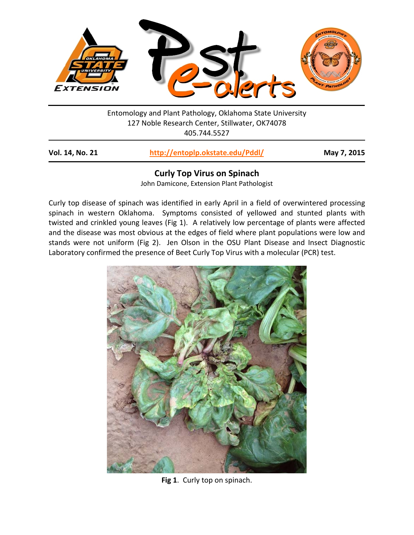

Entomology and Plant Pathology, Oklahoma State University 127 Noble Research Center, Stillwater, OK74078 405.744.5527

| <b>Vol. 14, No. 21</b> | http://entoplp.okstate.edu/Pddl/ | May 7, 2015 |
|------------------------|----------------------------------|-------------|
|------------------------|----------------------------------|-------------|

## **Curly Top Virus on Spinach**

John Damicone, Extension Plant Pathologist

Curly top disease of spinach was identified in early April in a field of overwintered processing spinach in western Oklahoma. Symptoms consisted of yellowed and stunted plants with twisted and crinkled young leaves (Fig 1). A relatively low percentage of plants were affected and the disease was most obvious at the edges of field where plant populations were low and stands were not uniform (Fig 2). Jen Olson in the OSU Plant Disease and Insect Diagnostic Laboratory confirmed the presence of Beet Curly Top Virus with a molecular (PCR) test.



**Fig 1**. Curly top on spinach.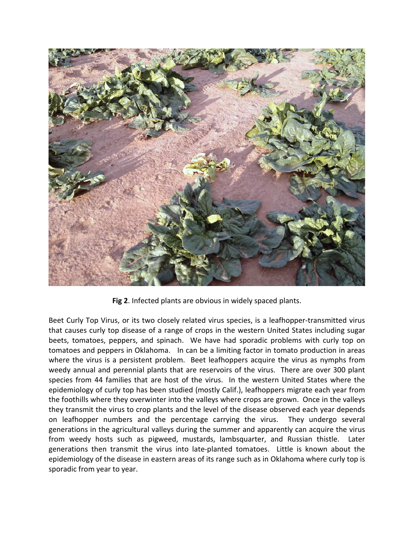

**Fig 2**. Infected plants are obvious in widely spaced plants.

Beet Curly Top Virus, or its two closely related virus species, is a leafhopper-transmitted virus that causes curly top disease of a range of crops in the western United States including sugar beets, tomatoes, peppers, and spinach. We have had sporadic problems with curly top on tomatoes and peppers in Oklahoma. In can be a limiting factor in tomato production in areas where the virus is a persistent problem. Beet leafhoppers acquire the virus as nymphs from weedy annual and perennial plants that are reservoirs of the virus. There are over 300 plant species from 44 families that are host of the virus. In the western United States where the epidemiology of curly top has been studied (mostly Calif.), leafhoppers migrate each year from the foothills where they overwinter into the valleys where crops are grown. Once in the valleys they transmit the virus to crop plants and the level of the disease observed each year depends on leafhopper numbers and the percentage carrying the virus. They undergo several generations in the agricultural valleys during the summer and apparently can acquire the virus from weedy hosts such as pigweed, mustards, lambsquarter, and Russian thistle. Later generations then transmit the virus into late-planted tomatoes. Little is known about the epidemiology of the disease in eastern areas of its range such as in Oklahoma where curly top is sporadic from year to year.